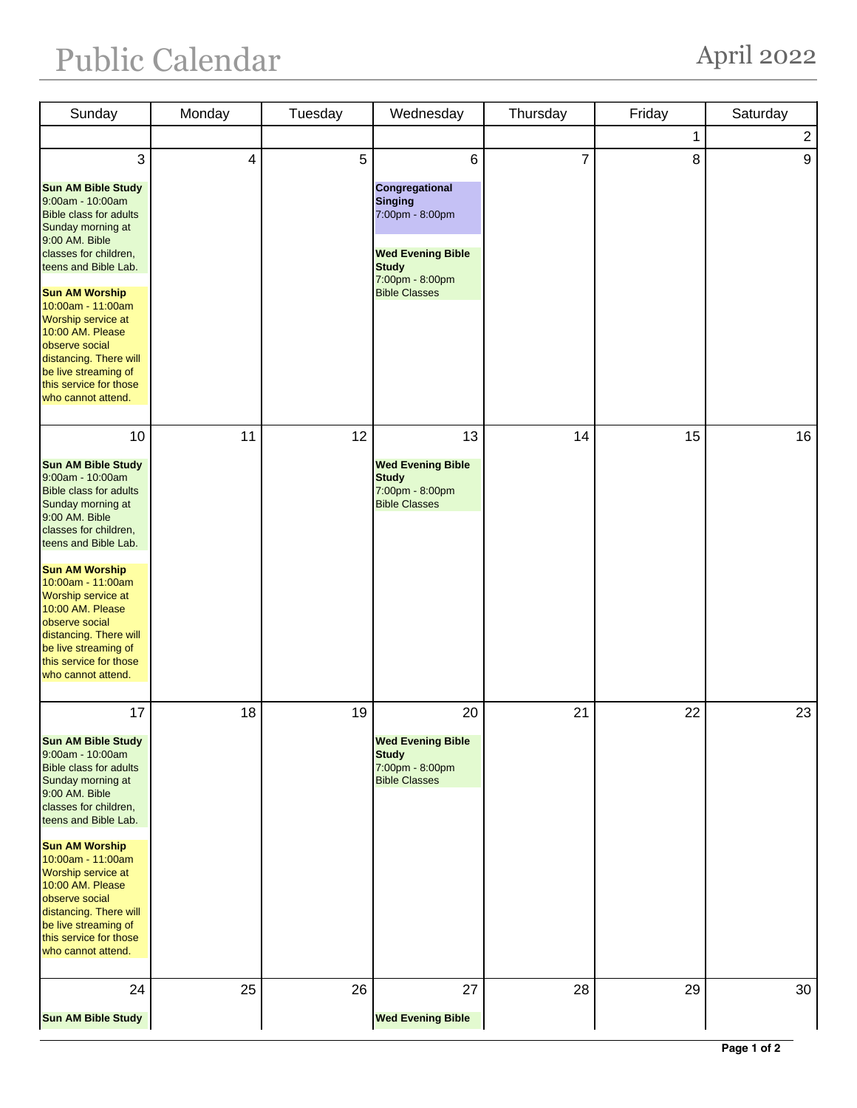## Public Calendar April 2022

| Sunday                                                                                                                                                                                                                                                                                                                                                                                   | Monday | Tuesday | Wednesday                                                                                                                                       | Thursday       | Friday | Saturday       |
|------------------------------------------------------------------------------------------------------------------------------------------------------------------------------------------------------------------------------------------------------------------------------------------------------------------------------------------------------------------------------------------|--------|---------|-------------------------------------------------------------------------------------------------------------------------------------------------|----------------|--------|----------------|
|                                                                                                                                                                                                                                                                                                                                                                                          |        |         |                                                                                                                                                 |                | 1      | $\overline{2}$ |
| 3<br><b>Sun AM Bible Study</b><br>9:00am - 10:00am<br><b>Bible class for adults</b><br>Sunday morning at<br>9:00 AM. Bible<br>classes for children,<br>teens and Bible Lab.<br><b>Sun AM Worship</b><br>10:00am - 11:00am<br>Worship service at<br>10:00 AM. Please<br>observe social<br>distancing. There will<br>be live streaming of<br>this service for those<br>who cannot attend.  | 4      | 5       | 6<br>Congregational<br><b>Singing</b><br>7:00pm - 8:00pm<br><b>Wed Evening Bible</b><br><b>Study</b><br>7:00pm - 8:00pm<br><b>Bible Classes</b> | $\overline{7}$ | 8      | 9              |
| 10<br><b>Sun AM Bible Study</b><br>9:00am - 10:00am<br><b>Bible class for adults</b><br>Sunday morning at<br>9:00 AM. Bible<br>classes for children,<br>teens and Bible Lab.<br><b>Sun AM Worship</b><br>10:00am - 11:00am<br>Worship service at<br>10:00 AM. Please<br>observe social<br>distancing. There will<br>be live streaming of<br>this service for those<br>who cannot attend. | 11     | 12      | 13<br><b>Wed Evening Bible</b><br><b>Study</b><br>7:00pm - 8:00pm<br><b>Bible Classes</b>                                                       | 14             | 15     | 16             |
| 17<br><b>Sun AM Bible Study</b><br>9:00am - 10:00am<br><b>Bible class for adults</b><br>Sunday morning at<br>9:00 AM. Bible<br>classes for children,<br>teens and Bible Lab.<br><b>Sun AM Worship</b><br>10:00am - 11:00am<br>Worship service at<br>10:00 AM. Please<br>observe social<br>distancing. There will<br>be live streaming of<br>this service for those<br>who cannot attend. | 18     | 19      | 20<br><b>Wed Evening Bible</b><br><b>Study</b><br>7:00pm - 8:00pm<br><b>Bible Classes</b>                                                       | 21             | 22     | 23             |
| 24<br><b>Sun AM Bible Study</b>                                                                                                                                                                                                                                                                                                                                                          | 25     | 26      | 27<br><b>Wed Evening Bible</b>                                                                                                                  | 28             | 29     | 30             |